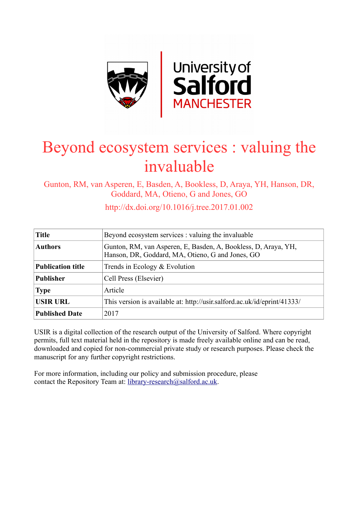

# Beyond ecosystem services : valuing the invaluable

Gunton, RM, van Asperen, E, Basden, A, Bookless, D, Araya, YH, Hanson, DR, Goddard, MA, Otieno, G and Jones, GO

**Title** Beyond ecosystem services : valuing the invaluable **Authors** Gunton, RM, van Asperen, E, Basden, A, Bookless, D, Araya, YH, Hanson, DR, Goddard, MA, Otieno, G and Jones, GO **Publication title** Trends in Ecology & Evolution **Publisher** | Cell Press (Elsevier) **Type** Article USIR URL This version is available at: http://usir.salford.ac.uk/id/eprint/41333/ **Published Date** 2017

http://dx.doi.org/10.1016/j.tree.2017.01.002

USIR is a digital collection of the research output of the University of Salford. Where copyright permits, full text material held in the repository is made freely available online and can be read, downloaded and copied for non-commercial private study or research purposes. Please check the manuscript for any further copyright restrictions.

For more information, including our policy and submission procedure, please contact the Repository Team at: [library-research@salford.ac.uk.](mailto:library-research@salford.ac.uk)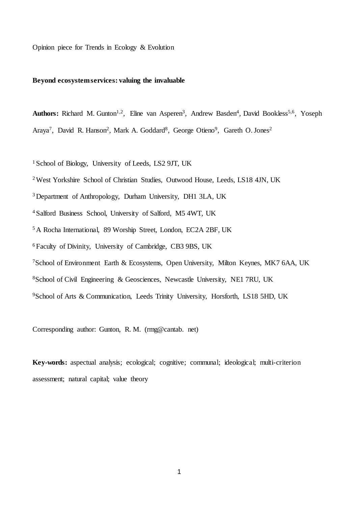Opinion piece for Trends in Ecology & Evolution

# **Beyond ecosystem services: valuing the invaluable**

Authors: Richard M. Gunton<sup>1,2</sup>, Eline van Asperen<sup>3</sup>, Andrew Basden<sup>4</sup>, David Bookless<sup>5,6</sup>, Yoseph Araya<sup>7</sup>, David R. Hanson<sup>2</sup>, Mark A. Goddard<sup>8</sup>, George Otieno<sup>9</sup>, Gareth O. Jones<sup>2</sup>

<sup>1</sup> School of Biology, University of Leeds, LS2 9JT, UK

<sup>2</sup>West Yorkshire School of Christian Studies, Outwood House, Leeds, LS18 4JN, UK

<sup>3</sup>Department of Anthropology, Durham University, DH1 3LA, UK

<sup>4</sup>Salford Business School, University of Salford, M5 4WT, UK

<sup>5</sup>A Rocha International, 89 Worship Street, London, EC2A 2BF, UK

<sup>6</sup>Faculty of Divinity, University of Cambridge, CB3 9BS, UK

<sup>7</sup>School of Environment Earth & Ecosystems, Open University, Milton Keynes, MK7 6AA, UK

<sup>8</sup>School of Civil Engineering & Geosciences, Newcastle University, NE1 7RU, UK

<sup>9</sup>School of Arts & Communication, Leeds Trinity University, Horsforth, LS18 5HD, UK

Corresponding author: Gunton, R. M. (rmg@cantab. net)

**Key-words:** aspectual analysis; ecological; cognitive; communal; ideological; multi-criterion assessment; natural capital; value theory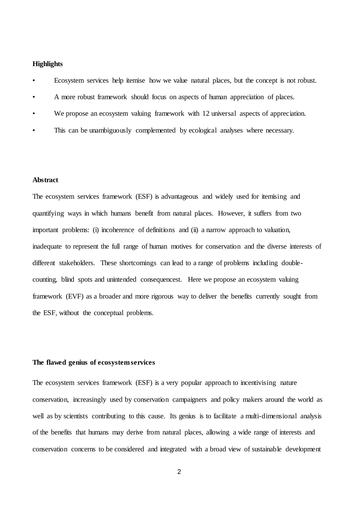# **Highlights**

- Ecosystem services help itemise how we value natural places, but the concept is not robust.
- A more robust framework should focus on aspects of human appreciation of places.
- We propose an ecosystem valuing framework with 12 universal aspects of appreciation.
- This can be unambiguously complemented by ecological analyses where necessary.

# **Abstract**

The ecosystem services framework (ESF) is advantageous and widely used for itemising and quantifying ways in which humans benefit from natural places. However, it suffers from two important problems: (i) incoherence of definitions and (ii) a narrow approach to valuation, inadequate to represent the full range of human motives for conservation and the diverse interests of different stakeholders. These shortcomings can lead to a range of problems including doublecounting, blind spots and unintended consequencest. Here we propose an ecosystem valuing framework (EVF) as a broader and more rigorous way to deliver the benefits currently sought from the ESF, without the conceptual problems.

# **The flawed genius of ecosystem services**

The ecosystem services framework (ESF) is a very popular approach to incentivising nature conservation, increasingly used by conservation campaigners and policy makers around the world as well as by scientists contributing to this cause. Its genius is to facilitate a multi-dimensional analysis of the benefits that humans may derive from natural places, allowing a wide range of interests and conservation concerns to be considered and integrated with a broad view of sustainable development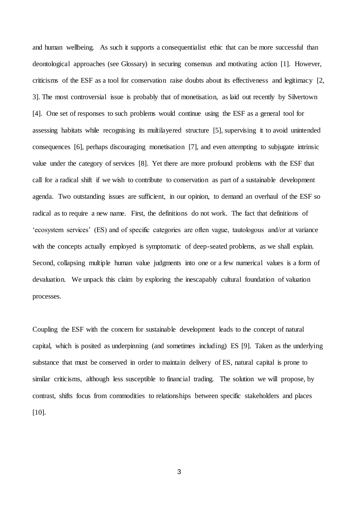and human wellbeing. As such it supports a consequentialist ethic that can be more successful than deontological approaches (see Glossary) in securing consensus and motivating action [\[1\]](#page-11-0). However, criticisms of the ESF as a tool for conservation raise doubts about its effectiveness and legitimacy [\[2,](#page-11-1) [3\]](#page-11-2). The most controversial issue is probably that of monetisation, as laid out recently by [Silvertown](#page-11-3)  [\[4\]](#page-11-3). One set of responses to such problems would continue using the ESF as a general tool for assessing habitats while recognising its multilayered structure [\[5\]](#page-11-4), supervising it to avoid unintended consequences [\[6\]](#page-11-5), perhaps discouraging monetisation [\[7\]](#page-11-6), and even attempting to subjugate intrinsic value under the category of services [\[8\]](#page-11-7). Yet there are more profound problems with the ESF that call for a radical shift if we wish to contribute to conservation as part of a sustainable development agenda. Two outstanding issues are sufficient, in our opinion, to demand an overhaul of the ESF so radical as to require a new name. First, the definitions do not work. The fact that definitions of 'ecosystem services' (ES) and of specific categories are often vague, tautologous and/or at variance with the concepts actually employed is symptomatic of deep-seated problems, as we shall explain. Second, collapsing multiple human value judgments into one or a few numerical values is a form of devaluation. We unpack this claim by exploring the inescapably cultural foundation of valuation processes.

Coupling the ESF with the concern for sustainable development leads to the concept of natural capital, which is posited as underpinning (and sometimes including) ES [\[9\]](#page-11-8). Taken as the underlying substance that must be conserved in order to maintain delivery of ES, natural capital is prone to similar criticisms, although less susceptible to financial trading. The solution we will propose, by contrast, shifts focus from commodities to relationships between specific stakeholders and places [\[10\]](#page-11-9).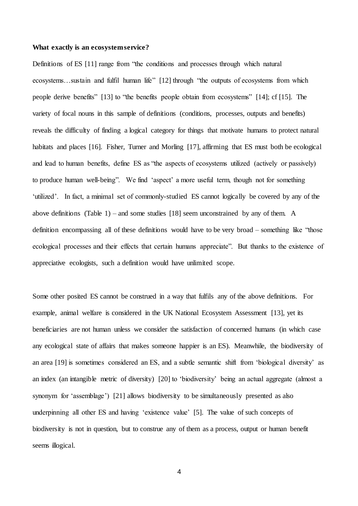### **What exactly is an ecosystem service?**

Definitions of ES [\[11\]](#page-11-10) range from "the conditions and processes through which natural ecosystems…sustain and fulfil human life" [\[12\]](#page-11-11) through "the outputs of ecosystems from which people derive benefits" [\[13\]](#page-11-12) to "the benefits people obtain from ecosystems" [\[14\]](#page-11-13); cf [\[15\]](#page-11-14). The variety of focal nouns in this sample of definitions (conditions, processes, outputs and benefits) reveals the difficulty of finding a logical category for things that motivate humans to protect natural habitats and places [\[16\]](#page-11-15). [Fisher, Turner and Morling \[17\]](#page-12-0), affirming that ES must both be ecological and lead to human benefits, define ES as "the aspects of ecosystems utilized (actively or passively) to produce human well-being". We find 'aspect' a more useful term, though not for something 'utilized'. In fact, a minimal set of commonly-studied ES cannot logically be covered by any of the above definitions (Table 1) – and some studies [\[18\]](#page-12-1) seem unconstrained by any of them. A definition encompassing all of these definitions would have to be very broad – something like "those ecological processes and their effects that certain humans appreciate". But thanks to the existence of appreciative ecologists, such a definition would have unlimited scope.

Some other posited ES cannot be construed in a way that fulfils any of the above definitions. For example, animal welfare is considered in the UK National Ecosystem Assessment [\[13\]](#page-11-12), yet its beneficiaries are not human unless we consider the satisfaction of concerned humans (in which case any ecological state of affairs that makes someone happier is an ES). Meanwhile, the biodiversity of an area [\[19\]](#page-12-2) is sometimes considered an ES, and a subtle semantic shift from 'biological diversity' as an index (an intangible metric of diversity) [\[20\]](#page-12-3) to 'biodiversity' being an actual aggregate (almost a synonym for 'assemblage') [\[21\]](#page-12-4) allows biodiversity to be simultaneously presented as also underpinning all other ES and having 'existence value' [\[5\]](#page-11-4). The value of such concepts of biodiversity is not in question, but to construe any of them as a process, output or human benefit seems illogical.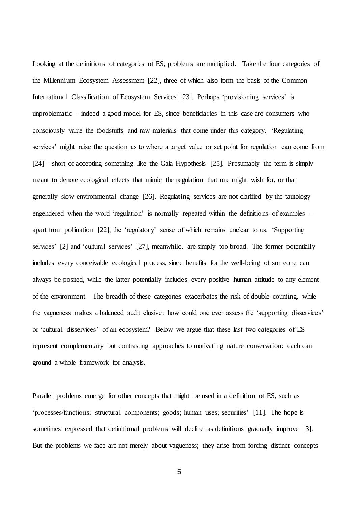Looking at the definitions of categories of ES, problems are multiplied. Take the four categories of the [Millennium Ecosystem Assessment \[22\]](#page-12-5), three of which also form the basis of the Common International Classification of Ecosystem Services [\[23\]](#page-12-6). Perhaps 'provisioning services' is unproblematic – indeed a good model for ES, since beneficiaries in this case are consumers who consciously value the foodstuffs and raw materials that come under this category. 'Regulating services' might raise the question as to where a target value or set point for regulation can come from [\[24\]](#page-12-7) – short of accepting something like the Gaia Hypothesis [\[25\]](#page-12-8). Presumably the term is simply meant to denote ecological effects that mimic the regulation that one might wish for, or that generally slow environmental change [\[26\]](#page-12-9). Regulating services are not clarified by the tautology engendered when the word 'regulation' is normally repeated within the definitions of examples – apart from pollination [\[22\]](#page-12-5), the 'regulatory' sense of which remains unclear to us. 'Supporting services' [\[2\]](#page-11-1) and 'cultural services' [\[27\]](#page-12-10), meanwhile, are simply too broad. The former potentially includes every conceivable ecological process, since benefits for the well-being of someone can always be posited, while the latter potentially includes every positive human attitude to any element of the environment. The breadth of these categories exacerbates the risk of double-counting, while the vagueness makes a balanced audit elusive: how could one ever assess the 'supporting disservices' or 'cultural disservices' of an ecosystem? Below we argue that these last two categories of ES represent complementary but contrasting approaches to motivating nature conservation: each can ground a whole framework for analysis.

Parallel problems emerge for other concepts that might be used in a definition of ES, such as 'processes/functions; structural components; goods; human uses; securities' [\[11\]](#page-11-10). The hope is sometimes expressed that definitional problems will decline as definitions gradually improve [\[3\]](#page-11-2). But the problems we face are not merely about vagueness; they arise from forcing distinct concepts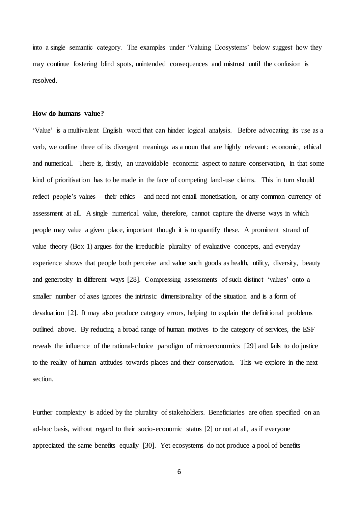into a single semantic category. The examples under 'Valuing Ecosystems' below suggest how they may continue fostering blind spots, unintended consequences and mistrust until the confusion is resolved.

## **How do humans value?**

'Value' is a multivalent English word that can hinder logical analysis. Before advocating its use as a verb, we outline three of its divergent meanings as a noun that are highly relevant: economic, ethical and numerical. There is, firstly, an unavoidable economic aspect to nature conservation, in that some kind of prioritisation has to be made in the face of competing land-use claims. This in turn should reflect people's values – their ethics – and need not entail monetisation, or any common currency of assessment at all. A single numerical value, therefore, cannot capture the diverse ways in which people may value a given place, important though it is to quantify these. A prominent strand of value theory (Box 1) argues for the irreducible plurality of evaluative concepts, and everyday experience shows that people both perceive and value such goods as health, utility, diversity, beauty and generosity in different ways [\[28\]](#page-12-11). Compressing assessments of such distinct 'values' onto a smaller number of axes ignores the intrinsic dimensionality of the situation and is a form of devaluation [\[2\]](#page-11-1). It may also produce category errors, helping to explain the definitional problems outlined above. By reducing a broad range of human motives to the category of services, the ESF reveals the influence of the rational-choice paradigm of microeconomics [\[29\]](#page-12-12) and fails to do justice to the reality of human attitudes towards places and their conservation. This we explore in the next section.

Further complexity is added by the plurality of stakeholders. Beneficiaries are often specified on an ad-hoc basis, without regard to their socio-economic status [\[2\]](#page-11-1) or not at all, as if everyone appreciated the same benefits equally [\[30\]](#page-12-13). Yet ecosystems do not produce a pool of benefits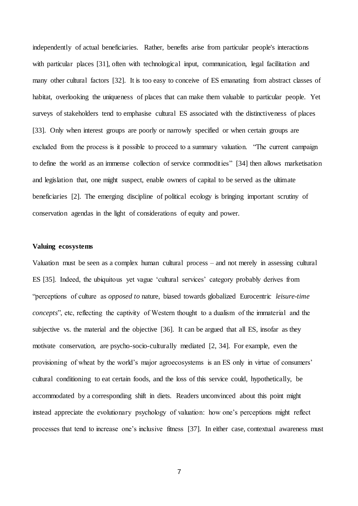independently of actual beneficiaries. Rather, benefits arise from particular people's interactions with particular places [\[31\]](#page-12-14), often with technological input, communication, legal facilitation and many other cultural factors [\[32\]](#page-12-15). It is too easy to conceive of ES emanating from abstract classes of habitat, overlooking the uniqueness of places that can make them valuable to particular people. Yet surveys of stakeholders tend to emphasise cultural ES associated with the distinctiveness of places [\[33\]](#page-12-16). Only when interest groups are poorly or narrowly specified or when certain groups are excluded from the process is it possible to proceed to a summary valuation. "The current campaign to define the world as an immense collection of service commodities" [\[34\]](#page-12-17) then allows marketisation and legislation that, one might suspect, enable owners of capital to be served as the ultimate beneficiaries [\[2\]](#page-11-1). The emerging discipline of political ecology is bringing important scrutiny of conservation agendas in the light of considerations of equity and power.

# **Valuing ecosystems**

Valuation must be seen as a complex human cultural process – and not merely in assessing cultural ES [\[35\]](#page-12-18). Indeed, the ubiquitous yet vague 'cultural services' category probably derives from "perceptions of culture as *opposed to* nature, biased towards globalized Eurocentric *leisure-time concepts*", etc, reflecting the captivity of Western thought to a dualism of the immaterial and the subjective vs. the material and the objective [\[36\]](#page-12-19). It can be argued that all ES, insofar as they motivate conservation, are psycho-socio-culturally mediated [\[2,](#page-11-1) [34\]](#page-12-17). For example, even the provisioning of wheat by the world's major agroecosystems is an ES only in virtue of consumers' cultural conditioning to eat certain foods, and the loss of this service could, hypothetically, be accommodated by a corresponding shift in diets. Readers unconvinced about this point might instead appreciate the evolutionary psychology of valuation: how one's perceptions might reflect processes that tend to increase one's inclusive fitness [\[37\]](#page-12-20). In either case, contextual awareness must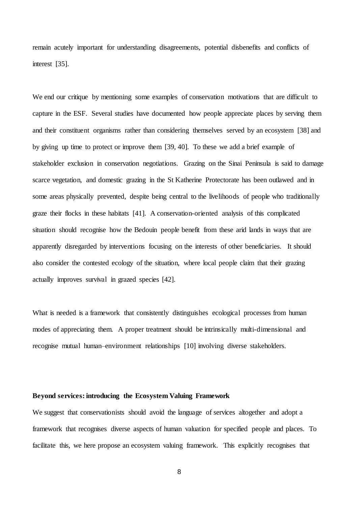remain acutely important for understanding disagreements, potential disbenefits and conflicts of interest [\[35\]](#page-12-18).

We end our critique by mentioning some examples of conservation motivations that are difficult to capture in the ESF. Several studies have documented how people appreciate places by serving them and their constituent organisms rather than considering themselves served by an ecosystem [\[38\]](#page-12-21) and by giving up time to protect or improve them [\[39,](#page-12-22) [40\]](#page-12-23). To these we add a brief example of stakeholder exclusion in conservation negotiations. Grazing on the Sinai Peninsula is said to damage scarce vegetation, and domestic grazing in the St Katherine Protectorate has been outlawed and in some areas physically prevented, despite being central to the livelihoods of people who traditionally graze their flocks in these habitats [\[41\]](#page-13-0). A conservation-oriented analysis of this complicated situation should recognise how the Bedouin people benefit from these arid lands in ways that are apparently disregarded by interventions focusing on the interests of other beneficiaries. It should also consider the contested ecology of the situation, where local people claim that their grazing actually improves survival in grazed species [\[42\]](#page-13-1).

What is needed is a framework that consistently distinguishes ecological processes from human modes of appreciating them. A proper treatment should be intrinsically multi-dimensional and recognise mutual human–environment relationships [\[10\]](#page-11-9) involving diverse stakeholders.

# **Beyond services: introducing the Ecosystem Valuing Framework**

We suggest that conservationists should avoid the language of services altogether and adopt a framework that recognises diverse aspects of human valuation for specified people and places. To facilitate this, we here propose an ecosystem valuing framework. This explicitly recognises that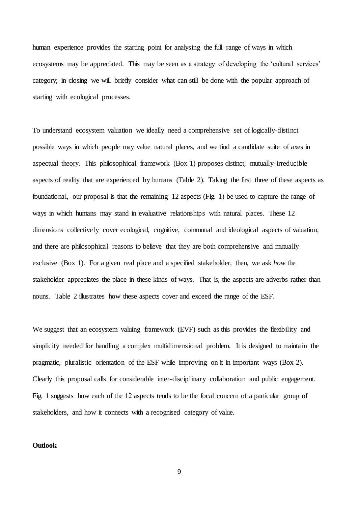human experience provides the starting point for analysing the full range of ways in which ecosystems may be appreciated. This may be seen as a strategy of developing the 'cultural services' category; in closing we will briefly consider what can still be done with the popular approach of starting with ecological processes.

To understand ecosystem valuation we ideally need a comprehensive set of logically-distinct possible ways in which people may value natural places, and we find a candidate suite of axes in aspectual theory. This philosophical framework (Box 1) proposes distinct, mutually-irreducible aspects of reality that are experienced by humans (Table 2). Taking the first three of these aspects as foundational, our proposal is that the remaining 12 aspects (Fig. 1) be used to capture the range of ways in which humans may stand in evaluative relationships with natural places. These 12 dimensions collectively cover ecological, cognitive, communal and ideological aspects of valuation, and there are philosophical reasons to believe that they are both comprehensive and mutually exclusive (Box 1). For a given real place and a specified stakeholder, then, we ask *how* the stakeholder appreciates the place in these kinds of ways. That is, the aspects are adverbs rather than nouns. Table 2 illustrates how these aspects cover and exceed the range of the ESF.

We suggest that an ecosystem valuing framework (EVF) such as this provides the flexibility and simplicity needed for handling a complex multidimensional problem. It is designed to maintain the pragmatic, pluralistic orientation of the ESF while improving on it in important ways (Box 2). Clearly this proposal calls for considerable inter-disciplinary collaboration and public engagement. Fig. 1 suggests how each of the 12 aspects tends to be the focal concern of a particular group of stakeholders, and how it connects with a recognised category of value.

# **Outlook**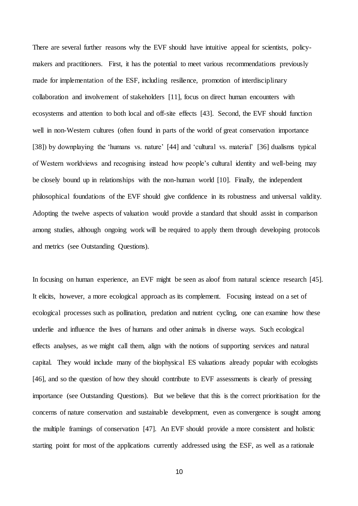There are several further reasons why the EVF should have intuitive appeal for scientists, policymakers and practitioners. First, it has the potential to meet various recommendations previously made for implementation of the ESF, including resilience, promotion of interdisciplinary collaboration and involvement of stakeholders [\[11\]](#page-11-10), focus on direct human encounters with ecosystems and attention to both local and off-site effects [\[43\]](#page-13-2). Second, the EVF should function well in non-Western cultures (often found in parts of the world of great conservation importance [\[38\]](#page-12-21)) by downplaying the 'humans vs. nature' [\[44\]](#page-13-3) and 'cultural vs. material' [\[36\]](#page-12-19) dualisms typical of Western worldviews and recognising instead how people's cultural identity and well-being may be closely bound up in relationships with the non-human world [\[10\]](#page-11-9). Finally, the independent philosophical foundations of the EVF should give confidence in its robustness and universal validity. Adopting the twelve aspects of valuation would provide a standard that should assist in comparison among studies, although ongoing work will be required to apply them through developing protocols and metrics (see Outstanding Questions).

In focusing on human experience, an EVF might be seen as aloof from natural science research [\[45\]](#page-13-4). It elicits, however, a more ecological approach as its complement. Focusing instead on a set of ecological processes such as pollination, predation and nutrient cycling, one can examine how these underlie and influence the lives of humans and other animals in diverse ways. Such ecological effects analyses, as we might call them, align with the notions of supporting services and natural capital. They would include many of the biophysical ES valuations already popular with ecologists [\[46\]](#page-13-5), and so the question of how they should contribute to EVF assessments is clearly of pressing importance (see Outstanding Questions). But we believe that this is the correct prioritisation for the concerns of nature conservation and sustainable development, even as convergence is sought among the multiple framings of conservation [\[47\]](#page-13-6). An EVF should provide a more consistent and holistic starting point for most of the applications currently addressed using the ESF, as well as a rationale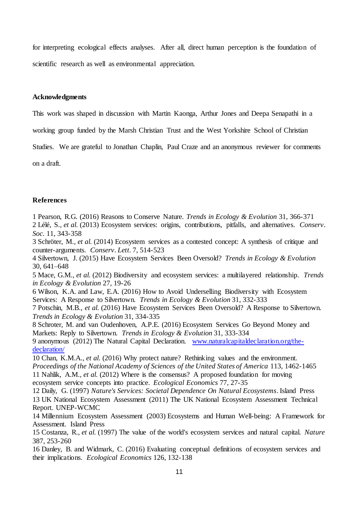for interpreting ecological effects analyses. After all, direct human perception is the foundation of scientific research as well as environmental appreciation.

# **Acknowledgments**

This work was shaped in discussion with Martin Kaonga, Arthur Jones and Deepa Senapathi in a

working group funded by the Marsh Christian Trust and the West Yorkshire School of Christian

Studies. We are grateful to Jonathan Chaplin, Paul Craze and an anonymous reviewer for comments

on a draft.

# **References**

<span id="page-11-1"></span><span id="page-11-0"></span>1 Pearson, R.G. (2016) Reasons to Conserve Nature. *Trends in Ecology & Evolution* 31, 366-371 2 Lélé, S.*, et al.* (2013) Ecosystem services: origins, contributions, pitfalls, and alternatives. *Conserv. Soc.* 11, 343-358

<span id="page-11-2"></span>3 Schröter, M.*, et al.* (2014) Ecosystem services as a contested concept: A synthesis of critique and counter-arguments. *Conserv. Lett.* 7, 514-523

<span id="page-11-3"></span>4 Silvertown, J. (2015) Have Ecosystem Services Been Oversold? *Trends in Ecology & Evolution* 30, 641–648

<span id="page-11-4"></span>5 Mace, G.M.*, et al.* (2012) Biodiversity and ecosystem services: a multilayered relationship. *Trends in Ecology & Evolution* 27, 19-26

<span id="page-11-5"></span>6 Wilson, K.A. and Law, E.A. (2016) How to Avoid Underselling Biodiversity with Ecosystem Services: A Response to Silvertown. *Trends in Ecology & Evolution* 31, 332-333

<span id="page-11-6"></span>7 Potschin, M.B.*, et al.* (2016) Have Ecosystem Services Been Oversold? A Response to Silvertown. *Trends in Ecology & Evolution* 31, 334-335

<span id="page-11-7"></span>8 Schroter, M. and van Oudenhoven, A.P.E. (2016) Ecosystem Services Go Beyond Money and Markets: Reply to Silvertown. *Trends in Ecology & Evolution* 31, 333-334

<span id="page-11-8"></span>9 anonymous (2012) The Natural Capital Declaration. [www.naturalcapitaldeclaration.org/the](http://www.naturalcapitaldeclaration.org/the-declaration/)[declaration/](http://www.naturalcapitaldeclaration.org/the-declaration/)

<span id="page-11-10"></span><span id="page-11-9"></span>10 Chan, K.M.A.*, et al.* (2016) Why protect nature? Rethinking values and the environment. *Proceedings of the National Academy of Sciences of the United States of America* 113, 1462-1465 11 Nahlik, A.M.*, et al.* (2012) Where is the consensus? A proposed foundation for moving ecosystem service concepts into practice. *Ecological Economics* 77, 27-35

<span id="page-11-12"></span><span id="page-11-11"></span>12 Daily, G. (1997) *Nature's Services: Societal Dependence On Natural Ecosystems*. Island Press 13 UK National Ecosystem Assessment (2011) The UK National Ecosystem Assessment Technical Report. UNEP-WCMC

<span id="page-11-13"></span>14 Millennium Ecosystem Assessment (2003) Ecosystems and Human Well-being: A Framework for Assessment. Island Press

<span id="page-11-14"></span>15 Costanza, R.*, et al.* (1997) The value of the world's ecosystem services and natural capital. *Nature* 387, 253-260

<span id="page-11-15"></span>16 Danley, B. and Widmark, C. (2016) Evaluating conceptual definitions of ecosystem services and their implications. *Ecological Economics* 126, 132-138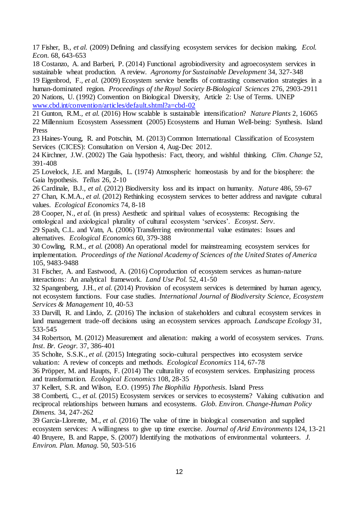<span id="page-12-0"></span>17 Fisher, B.*, et al.* (2009) Defining and classifying ecosystem services for decision making. *Ecol. Econ.* 68, 643-653

<span id="page-12-1"></span>18 Costanzo, A. and Barberi, P. (2014) Functional agrobiodiversity and agroecosystem services in sustainable wheat production. A review. *Agronomy for Sustainable Development* 34, 327-348

<span id="page-12-2"></span>19 Eigenbrod, F.*, et al.* (2009) Ecosystem service benefits of contrasting conservation strategies in a human-dominated region. *Proceedings of the Royal Society B-Biological Sciences* 276, 2903-2911 20 Nations, U. (1992) Convention on Biological Diversity, Article 2: Use of Terms. UNEP [www.cbd.int/convention/articles/default.shtml?a=cbd-02](http://www.cbd.int/convention/articles/default.shtml?a=cbd-02)

<span id="page-12-5"></span><span id="page-12-4"></span><span id="page-12-3"></span>21 Gunton, R.M.*, et al.* (2016) How scalable is sustainable intensification? *Nature Plants* 2, 16065 22 Millennium Ecosystem Assessment (2005) Ecosystems and Human Well-being: Synthesis. Island Press

<span id="page-12-6"></span>23 Haines-Young, R. and Potschin, M. (2013) Common International Classification of Ecosystem Services (CICES): Consultation on Version 4, Aug-Dec 2012.

<span id="page-12-7"></span>24 Kirchner, J.W. (2002) The Gaia hypothesis: Fact, theory, and wishful thinking. *Clim. Change* 52, 391-408

<span id="page-12-8"></span>25 Lovelock, J.E. and Margulis, L. (1974) Atmospheric homeostasis by and for the biosphere: the Gaia hypothesis. *Tellus* 26, 2-10

<span id="page-12-10"></span><span id="page-12-9"></span>26 Cardinale, B.J.*, et al.* (2012) Biodiversity loss and its impact on humanity. *Nature* 486, 59-67 27 Chan, K.M.A.*, et al.* (2012) Rethinking ecosystem services to better address and navigate cultural values. *Ecological Economics* 74, 8-18

<span id="page-12-11"></span>28 Cooper, N.*, et al.* (in press) Aesthetic and spiritual values of ecosystems: Recognising the ontological and axiological plurality of cultural ecosystem 'services'. *Ecosyst. Serv.*

<span id="page-12-12"></span>29 Spash, C.L. and Vatn, A. (2006) Transferring environmental value estimates: Issues and alternatives. *Ecological Economics* 60, 379-388

<span id="page-12-13"></span>30 Cowling, R.M.*, et al.* (2008) An operational model for mainstreaming ecosystem services for implementation. *Proceedings of the National Academy of Sciences of the United States of America* 105, 9483-9488

<span id="page-12-14"></span>31 Fischer, A. and Eastwood, A. (2016) Coproduction of ecosystem services as human-nature interactions: An analytical framework. *Land Use Pol.* 52, 41-50

<span id="page-12-15"></span>32 Spangenberg, J.H.*, et al.* (2014) Provision of ecosystem services is determined by human agency, not ecosystem functions. Four case studies. *International Journal of Biodiversity Science, Ecosystem Services & Management* 10, 40-53

<span id="page-12-16"></span>33 Darvill, R. and Lindo, Z. (2016) The inclusion of stakeholders and cultural ecosystem services in land management trade-off decisions using an ecosystem services approach. *Landscape Ecology* 31, 533-545

<span id="page-12-17"></span>34 Robertson, M. (2012) Measurement and alienation: making a world of ecosystem services. *Trans. Inst. Br. Geogr.* 37, 386-401

<span id="page-12-18"></span>35 Scholte, S.S.K.*, et al.* (2015) Integrating socio-cultural perspectives into ecosystem service valuation: A review of concepts and methods. *Ecological Economics* 114, 67-78

<span id="page-12-19"></span>36 Pröpper, M. and Haupts, F. (2014) The culturality of ecosystem services. Emphasizing process and transformation. *Ecological Economics* 108, 28-35

<span id="page-12-20"></span>37 Kellert, S.R. and Wilson, E.O. (1995) *The Biophilia Hypothesis*. Island Press

<span id="page-12-21"></span>38 Comberti, C.*, et al.* (2015) Ecosystem services or services to ecosystems? Valuing cultivation and reciprocal relationships between humans and ecosystems. *Glob. Environ. Change-Human Policy Dimens.* 34, 247-262

<span id="page-12-23"></span><span id="page-12-22"></span>39 Garcia-Llorente, M.*, et al.* (2016) The value of time in biological conservation and supplied ecosystem services: A willingness to give up time exercise. *Journal of Arid Environments* 124, 13-21 40 Bruyere, B. and Rappe, S. (2007) Identifying the motivations of environmental volunteers. *J. Environ. Plan. Manag.* 50, 503-516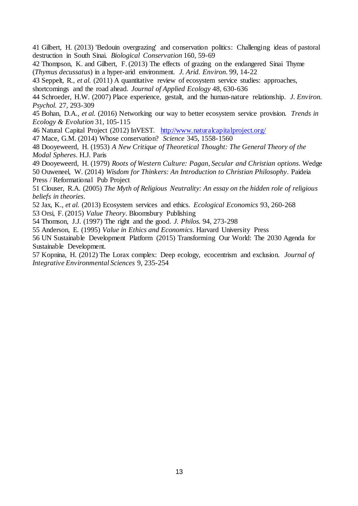<span id="page-13-0"></span>41 Gilbert, H. (2013) 'Bedouin overgrazing' and conservation politics: Challenging ideas of pastoral destruction in South Sinai. *Biological Conservation* 160, 59-69

<span id="page-13-1"></span>42 Thompson, K. and Gilbert, F. (2013) The effects of grazing on the endangered Sinai Thyme (*Thymus decussatus*) in a hyper-arid environment. *J. Arid. Environ.* 99, 14-22

<span id="page-13-2"></span>43 Seppelt, R.*, et al.* (2011) A quantitative review of ecosystem service studies: approaches,

shortcomings and the road ahead. *Journal of Applied Ecology* 48, 630-636

<span id="page-13-3"></span>44 Schroeder, H.W. (2007) Place experience, gestalt, and the human-nature relationship. *J. Environ. Psychol.* 27, 293-309

<span id="page-13-4"></span>45 Bohan, D.A.*, et al.* (2016) Networking our way to better ecosystem service provision. *Trends in Ecology & Evolution* 31, 105-115

<span id="page-13-5"></span>46 Natural Capital Project (2012) InVEST. <http://www.naturalcapitalproject.org/>

<span id="page-13-6"></span>47 Mace, G.M. (2014) Whose conservation? *Science* 345, 1558-1560

<span id="page-13-7"></span>48 Dooyeweerd, H. (1953) *A New Critique of Theoretical Thought: The General Theory of the Modal Spheres*. H.J. Paris

49 Dooyeweerd, H. (1979) *Roots of Western Culture: Pagan, Secular and Christian options*. Wedge 50 Ouweneel, W. (2014) *Wisdom for Thinkers: An Introduction to Christian Philosophy*. Paideia Press / Reformational Pub Project

51 Clouser, R.A. (2005) *The Myth of Religious Neutrality: An essay on the hidden role of religious beliefs in theories*.

52 Jax, K.*, et al.* (2013) Ecosystem services and ethics. *Ecological Economics* 93, 260-268 53 Orsi, F. (2015) *Value Theory*. Bloomsbury Publishing

54 Thomson, J.J. (1997) The right and the good. *J. Philos.* 94, 273-298

55 Anderson, E. (1995) *Value in Ethics and Economics*. Harvard University Press

56 UN Sustainable Development Platform (2015) Transforming Our World: The 2030 Agenda for Sustainable Development.

<span id="page-13-8"></span>57 Kopnina, H. (2012) The Lorax complex: Deep ecology, ecocentrism and exclusion. *Journal of Integrative Environmental Sciences* 9, 235-254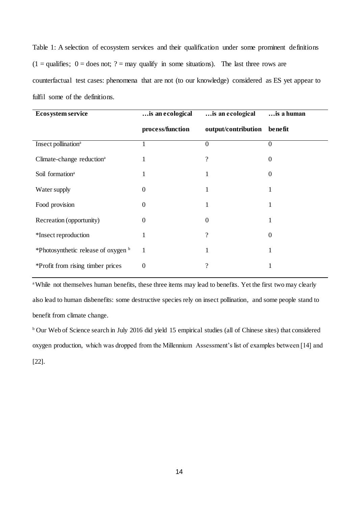Table 1: A selection of ecosystem services and their qualification under some prominent definitions  $(1 =$ qualifies;  $0 =$  does not;  $? =$  may qualify in some situations). The last three rows are counterfactual test cases: phenomena that are not (to our knowledge) considered as ES yet appear to fulfil some of the definitions.

| <b>Ecosystem service</b>              | is an ecological | is an ecological    | is a human     |
|---------------------------------------|------------------|---------------------|----------------|
|                                       | process/function | output/contribution | benefit        |
| Insect pollination <sup>a</sup>       |                  | $\mathbf{0}$        | $\overline{0}$ |
| Climate-change reduction <sup>a</sup> |                  | 9                   | 0              |
| Soil formation <sup>a</sup>           | 1                |                     | 0              |
| Water supply                          | $_{0}$           |                     |                |
| Food provision                        | 0                |                     |                |
| Recreation (opportunity)              | 0                | 0                   |                |
| *Insect reproduction                  |                  | ?                   | 0              |
| *Photosynthetic release of oxygen b   | 1                | 1                   | 1              |
| *Profit from rising timber prices     | 0                | ?                   |                |

<sup>a</sup>While not themselves human benefits, these three items may lead to benefits. Yet the first two may clearly also lead to human disbenefits: some destructive species rely on insect pollination, and some people stand to benefit from climate change.

<sup>b</sup> Our Web of Science search in July 2016 did yield 15 empirical studies (all of Chinese sites) that considered oxygen production, which was dropped from the Millennium Assessment's list of examples between [14] and [22].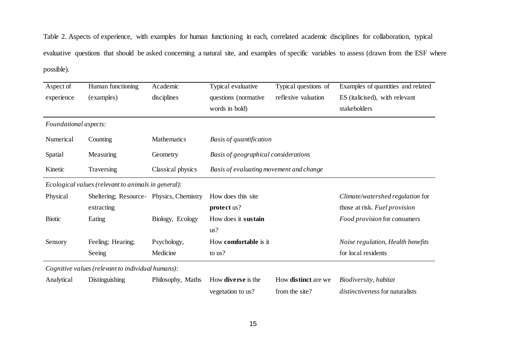Table 2. Aspects of experience, with examples for human functioning in each, correlated academic disciplines for collaboration, typical evaluative questions that should be asked concerning a natural site, and examples of specific variables to assess (drawn from the ESF where possible).

| Aspect of             | Human functioning                                   | Academic          | Typical evaluative                      | Typical questions of | Examples of quantities and related |
|-----------------------|-----------------------------------------------------|-------------------|-----------------------------------------|----------------------|------------------------------------|
| experience            | (examples)                                          | disciplines       | questions (normative                    | reflexive valuation  | ES (italicised), with relevant     |
|                       |                                                     |                   | words in bold)                          |                      | stakeholders                       |
| Foundational aspects: |                                                     |                   |                                         |                      |                                    |
| Numerical             | Counting                                            | Mathematics       | Basis of quantification                 |                      |                                    |
| Spatial               | Measuring                                           | Geometry          | Basis of geographical considerations    |                      |                                    |
| Kinetic               | Traversing                                          | Classical physics | Basis of evaluating movement and change |                      |                                    |
|                       | Ecological values (relevant to animals in general): |                   |                                         |                      |                                    |
| Physical              | Sheltering; Resource- Physics, Chemistry            |                   | How does this site                      |                      | Climate/watershed regulation for   |
|                       | extracting                                          |                   | protect us?                             |                      | those at risk. Fuel provision      |
| <b>Biotic</b>         | Eating                                              | Biology, Ecology  | How does it sustain                     |                      | Food provision for consumers       |
|                       |                                                     |                   | us?                                     |                      |                                    |
| Sensory               | Feeling; Hearing;                                   | Psychology,       | How <b>comfortable</b> is it            |                      | Noise regulation, Health benefits  |
|                       | Seeing                                              | Medicine          | to us?                                  |                      | for local residents                |
|                       | Cognitive values (relevant to individual humans):   |                   |                                         |                      |                                    |

Analytical Distinguishing Philosophy, Maths How **diverse** is the

vegetation to us? How **distinct** are we from the site?

*Biodiversity, habitat distinctiveness* for naturalists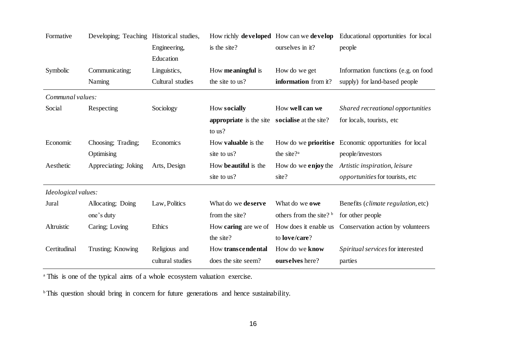| Formative           | Developing; Teaching Historical studies, |                  | How richly <b>developed</b> How can we <b>develop</b> |                                     | Educational opportunities for local                          |  |
|---------------------|------------------------------------------|------------------|-------------------------------------------------------|-------------------------------------|--------------------------------------------------------------|--|
|                     |                                          | Engineering,     | is the site?                                          | ourselves in it?                    | people                                                       |  |
|                     |                                          | Education        |                                                       |                                     |                                                              |  |
| Symbolic            | Communicating;                           | Linguistics,     | How <b>meaningful</b> is                              | How do we get                       | Information functions (e.g. on food                          |  |
|                     | Naming                                   | Cultural studies | the site to us?                                       | information from it?                | supply) for land-based people                                |  |
| Communal values:    |                                          |                  |                                                       |                                     |                                                              |  |
| Social              | Respecting                               | Sociology        | How socially                                          | How well can we                     | Shared recreational opportunities                            |  |
|                     |                                          |                  | appropriate is the site                               | socialise at the site?              | for locals, tourists, etc.                                   |  |
|                     |                                          |                  | to us?                                                |                                     |                                                              |  |
| Economic            | Choosing; Trading;                       | Economics        | How <b>valuable</b> is the                            |                                     | How do we <b>prioritise</b> Economic opportunities for local |  |
|                     | Optimising                               |                  | site to us?                                           | the site? <sup>a</sup>              | people/investors                                             |  |
| Aesthetic           | Appreciating; Joking                     | Arts, Design     | How beautiful is the                                  | How do we <b>enjoy</b> the          | Artistic inspiration, leisure                                |  |
|                     |                                          |                  | site to us?                                           | site?                               | <i>opportunities</i> for tourists, etc                       |  |
| Ideological values: |                                          |                  |                                                       |                                     |                                                              |  |
| Jural               | Allocating; Doing                        | Law, Politics    | What do we deserve                                    | What do we owe                      | Benefits ( <i>climate regulation</i> , etc)                  |  |
|                     | one's duty                               |                  | from the site?                                        | others from the site? $\frac{b}{b}$ | for other people                                             |  |
| Altruistic          | Caring; Loving                           | Ethics           | How <b>caring</b> are we of                           | How does it enable us               | Conservation action by volunteers                            |  |
|                     |                                          |                  | the site?                                             | to love/care?                       |                                                              |  |
| Certitudinal        | Trusting; Knowing                        | Religious and    | How transcendental                                    | How do we know                      | Spiritual services for interested                            |  |
|                     |                                          | cultural studies | does the site seem?                                   | ourselves here?                     | parties                                                      |  |
|                     |                                          |                  |                                                       |                                     |                                                              |  |

<sup>a</sup> This is one of the typical aims of a whole ecosystem valuation exercise.

<sup>b</sup> This question should bring in concern for future generations and hence sustainability.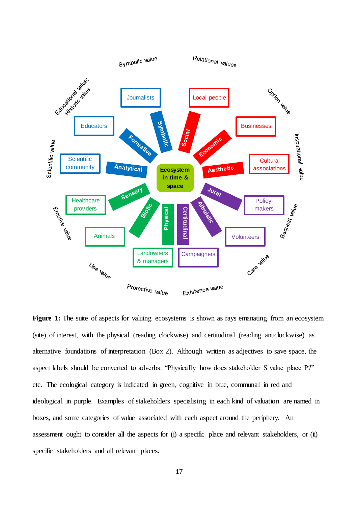

**Figure 1:** The suite of aspects for valuing ecosystems is shown as rays emanating from an ecosystem (site) of interest, with the physical (reading clockwise) and certitudinal (reading anticlockwise) as alternative foundations of interpretation (Box 2). Although written as adjectives to save space, the aspect labels should be converted to adverbs: "Physically how does stakeholder S value place P?" etc. The ecological category is indicated in green, cognitive in blue, communal in red and ideological in purple. Examples of stakeholders specialising in each kind of valuation are named in boxes, and some categories of value associated with each aspect around the periphery. An assessment ought to consider all the aspects for (i) a specific place and relevant stakeholders, or (ii) specific stakeholders and all relevant places.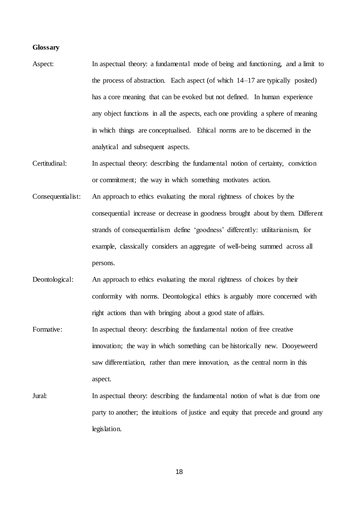#### **Glossary**

- Aspect: In aspectual theory: a fundamental mode of being and functioning, and a limit to the process of abstraction. Each aspect (of which 14–17 are typically posited) has a core meaning that can be evoked but not defined. In human experience any object functions in all the aspects, each one providing a sphere of meaning in which things are conceptualised. Ethical norms are to be discerned in the analytical and subsequent aspects.
- Certitudinal: In aspectual theory: describing the fundamental notion of certainty, conviction or commitment; the way in which something motivates action.
- Consequentialist: An approach to ethics evaluating the moral rightness of choices by the consequential increase or decrease in goodness brought about by them. Different strands of consequentialism define 'goodness' differently: utilitarianism, for example, classically considers an aggregate of well-being summed across all persons.
- Deontological: An approach to ethics evaluating the moral rightness of choices by their conformity with norms. Deontological ethics is arguably more concerned with right actions than with bringing about a good state of affairs.
- Formative: In aspectual theory: describing the fundamental notion of free creative innovation; the way in which something can be historically new. Dooyeweerd saw differentiation, rather than mere innovation, as the central norm in this aspect.
- Jural: In aspectual theory: describing the fundamental notion of what is due from one party to another; the intuitions of justice and equity that precede and ground any legislation.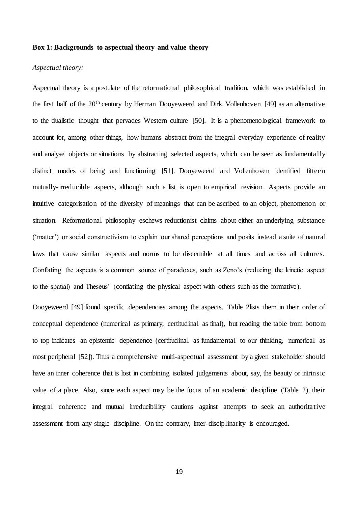# **Box 1: Backgrounds to aspectual theory and value theory**

#### *Aspectual theory:*

Aspectual theory is a postulate of the reformational philosophical tradition, which was established in the first half of the 20th century by Herman Dooyeweerd and Dirk Vollenhoven [49] as an alternative to the dualistic thought that pervades Western culture [50]. It is a phenomenological framework to account for, among other things, how humans abstract from the integral everyday experience of reality and analyse objects or situations by abstracting selected aspects, which can be seen as fundamentally distinct modes of being and functioning [51]. Dooyeweerd and Vollenhoven identified fifteen mutually-irreducible aspects, although such a list is open to empirical revision. Aspects provide an intuitive categorisation of the diversity of meanings that can be ascribed to an object, phenomenon or situation. Reformational philosophy eschews reductionist claims about either an underlying substance ('matter') or social constructivism to explain our shared perceptions and posits instead a suite of natural laws that cause similar aspects and norms to be discernible at all times and across all cultures. Conflating the aspects is a common source of paradoxes, such as Zeno's (reducing the kinetic aspect to the spatial) and Theseus' (conflating the physical aspect with others such as the formative).

Dooyeweerd [49] found specific dependencies among the aspects. Table 2lists them in their order of conceptual dependence (numerical as primary, certitudinal as final), but reading the table from bottom to top indicates an epistemic dependence (certitudinal as fundamental to our thinking, numerical as most peripheral [52]). Thus a comprehensive multi-aspectual assessment by a given stakeholder should have an inner coherence that is lost in combining isolated judgements about, say, the beauty or intrinsic value of a place. Also, since each aspect may be the focus of an academic discipline (Table 2), their integral coherence and mutual irreducibility cautions against attempts to seek an authoritative assessment from any single discipline. On the contrary, inter-disciplinarity is encouraged.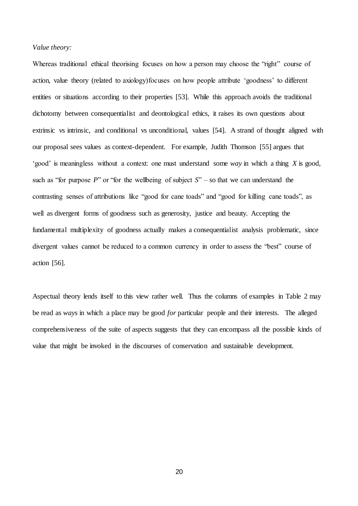## *Value theory:*

Whereas traditional ethical theorising focuses on how a person may choose the "right" course of action, value theory (related to axiology)focuses on how people attribute 'goodness' to different entities or situations according to their properties [53]. While this approach avoids the traditional dichotomy between consequentialist and deontological ethics, it raises its own questions about extrinsic vs intrinsic, and conditional vs unconditional, values [54]. A strand of thought aligned with our proposal sees values as context-dependent. For example, Judith Thomson [55] argues that 'good' is meaningless without a context: one must understand some *way* in which a thing *X* is good, such as "for purpose *P*" or "for the wellbeing of subject *S*" – so that we can understand the contrasting senses of attributions like "good for cane toads" and "good for killing cane toads", as well as divergent forms of goodness such as generosity, justice and beauty. Accepting the fundamental multiplexity of goodness actually makes a consequentialist analysis problematic, since divergent values cannot be reduced to a common currency in order to assess the "best" course of action [56].

Aspectual theory lends itself to this view rather well. Thus the columns of examples in Table 2 may be read as *ways* in which a place may be good *for* particular people and their interests. The alleged comprehensiveness of the suite of aspects suggests that they can encompass all the possible kinds of value that might be invoked in the discourses of conservation and sustainable development.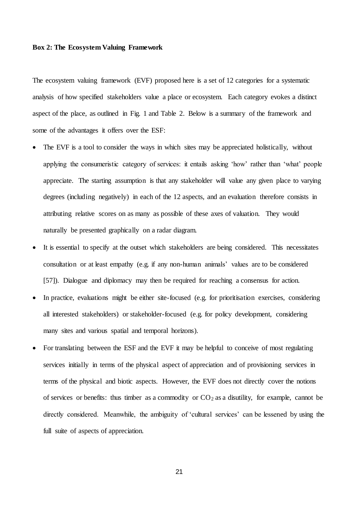#### **Box 2: The Ecosystem Valuing Framework**

The ecosystem valuing framework (EVF) proposed here is a set of 12 categories for a systematic analysis of how specified stakeholders value a place or ecosystem. Each category evokes a distinct aspect of the place, as outlined in Fig. 1 and Table 2. Below is a summary of the framework and some of the advantages it offers over the ESF:

- The EVF is a tool to consider the ways in which sites may be appreciated holistically, without applying the consumeristic category of services: it entails asking 'how' rather than 'what' people appreciate. The starting assumption is that any stakeholder will value any given place to varying degrees (including negatively) in each of the 12 aspects, and an evaluation therefore consists in attributing relative scores on as many as possible of these axes of valuation. They would naturally be presented graphically on a radar diagram.
- It is essential to specify at the outset which stakeholders are being considered. This necessitates consultation or at least empathy (e.g. if any non-human animals' values are to be considered [\[57\]](#page-13-8)). Dialogue and diplomacy may then be required for reaching a consensus for action.
- In practice, evaluations might be either site-focused (e.g. for prioritisation exercises, considering all interested stakeholders) or stakeholder-focused (e.g. for policy development, considering many sites and various spatial and temporal horizons).
- For translating between the ESF and the EVF it may be helpful to conceive of most regulating services initially in terms of the physical aspect of appreciation and of provisioning services in terms of the physical and biotic aspects. However, the EVF does not directly cover the notions of services or benefits: thus timber as a commodity or  $CO<sub>2</sub>$  as a disutility, for example, cannot be directly considered. Meanwhile, the ambiguity of 'cultural services' can be lessened by using the full suite of aspects of appreciation.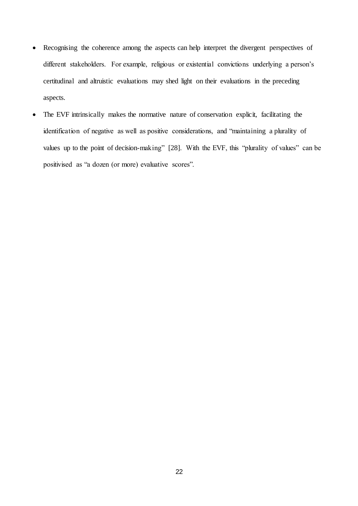- Recognising the coherence among the aspects can help interpret the divergent perspectives of different stakeholders. For example, religious or existential convictions underlying a person's certitudinal and altruistic evaluations may shed light on their evaluations in the preceding aspects.
- The EVF intrinsically makes the normative nature of conservation explicit, facilitating the identification of negative as well as positive considerations, and "maintaining a plurality of values up to the point of decision-making" [\[28\]](#page-12-11). With the EVF, this "plurality of values" can be positivised as "a dozen (or more) evaluative scores".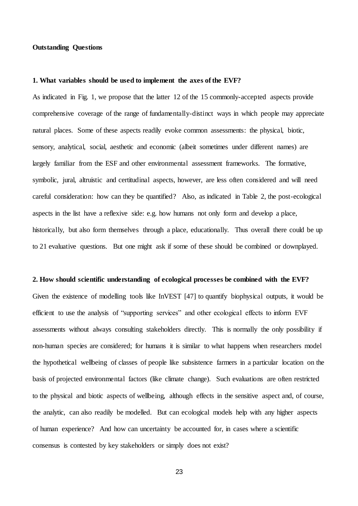# **Outstanding Questions**

# **1. What variables should be used to implement the axes of the EVF?**

As indicated in Fig. 1, we propose that the latter 12 of the 15 commonly-accepted aspects provide comprehensive coverage of the range of fundamentally-distinct ways in which people may appreciate natural places. Some of these aspects readily evoke common assessments: the physical, biotic, sensory, analytical, social, aesthetic and economic (albeit sometimes under different names) are largely familiar from the ESF and other environmental assessment frameworks. The formative, symbolic, jural, altruistic and certitudinal aspects, however, are less often considered and will need careful consideration: how can they be quantified? Also, as indicated in Table 2, the post-ecological aspects in the list have a reflexive side: e.g. how humans not only form and develop a place, historically, but also form themselves through a place, educationally. Thus overall there could be up to 21 evaluative questions. But one might ask if some of these should be combined or downplayed.

# **2. How should scientific understanding of ecological processes be combined with the EVF?**

Given the existence of modelling tools like InVEST [47] to quantify biophysical outputs, it would be efficient to use the analysis of "supporting services" and other ecological effects to inform EVF assessments without always consulting stakeholders directly. This is normally the only possibility if non-human species are considered; for humans it is similar to what happens when researchers model the hypothetical wellbeing of classes of people like subsistence farmers in a particular location on the basis of projected environmental factors (like climate change). Such evaluations are often restricted to the physical and biotic aspects of wellbeing, although effects in the sensitive aspect and, of course, the analytic, can also readily be modelled. But can ecological models help with any higher aspects of human experience? And how can uncertainty be accounted for, in cases where a scientific consensus is contested by key stakeholders or simply does not exist?